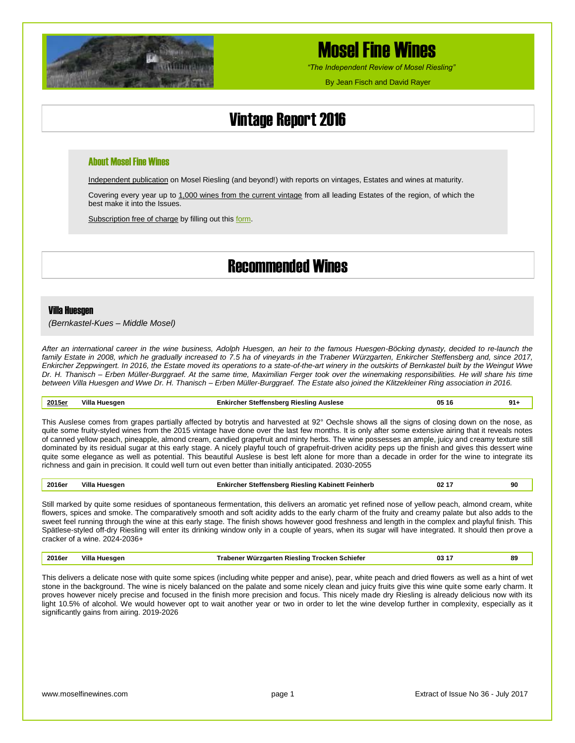

# Mosel Fine Wines

*"The Independent Review of Mosel Riesling"*

By Jean Fisch and David Rayer

# Vintage Report 2016

### About Mosel Fine Wines

Independent publication on Mosel Riesling (and beyond!) with reports on vintages, Estates and wines at maturity.

Covering every year up to 1,000 wines from the current vintage from all leading Estates of the region, of which the best make it into the Issues.

Subscription free of charge by filling out thi[s form.](http://www.moselfinewines.com/subscribe.php)

### Recommended Wines

#### Villa Huesgen

*(Bernkastel-Kues – Middle Mosel)*

*After an international career in the wine business, Adolph Huesgen, an heir to the famous Huesgen-Böcking dynasty, decided to re-launch the family Estate in 2008, which he gradually increased to 7.5 ha of vineyards in the Trabener Würzgarten, Enkircher Steffensberg and, since 2017, Enkircher Zeppwingert. In 2016, the Estate moved its operations to a state-of-the-art winery in the outskirts of Bernkastel built by the Weingut Wwe Dr. H. Thanisch – Erben Müller-Burggraef. At the same time, Maximilian Ferger took over the winemaking responsibilities. He will share his time between Villa Huesgen and Wwe Dr. H. Thanisch – Erben Müller-Burggraef. The Estate also joined the Klitzekleiner Ring association in 2016.*

### **2015er Villa Huesgen Enkircher Steffensberg Riesling Auslese 05 16 91+** This Auslese comes from grapes partially affected by botrytis and harvested at 92° Oechsle shows all the signs of closing down on the nose, as quite some fruity-styled wines from the 2015 vintage have done over the last few months. It is only after some extensive airing that it reveals notes of canned yellow peach, pineapple, almond cream, candied grapefruit and minty herbs. The wine possesses an ample, juicy and creamy texture still dominated by its residual sugar at this early stage. A nicely playful touch of grapefruit-driven acidity peps up the finish and gives this dessert wine

| 2016e | Villa<br>Huesaer | ∵ Steffensberg Riesling Kabinett i<br>Feinherb<br>:nkır<br>.cner | <br>$\sim$<br>VZ<br>. . | 90 |
|-------|------------------|------------------------------------------------------------------|-------------------------|----|

richness and gain in precision. It could well turn out even better than initially anticipated. 2030-2055

quite some elegance as well as potential. This beautiful Auslese is best left alone for more than a decade in order for the wine to integrate its

Still marked by quite some residues of spontaneous fermentation, this delivers an aromatic yet refined nose of yellow peach, almond cream, white flowers, spices and smoke. The comparatively smooth and soft acidity adds to the early charm of the fruity and creamy palate but also adds to the sweet feel running through the wine at this early stage. The finish shows however good freshness and length in the complex and playful finish. This Spätlese-styled off-dry Riesling will enter its drinking window only in a couple of years, when its sugar will have integrated. It should then prove a cracker of a wine. 2024-2036+

| 2016e | <br>Vill.<br>Huesaer | . Schiefer<br>ı Rieslind<br>rocken<br>wur<br>-Jarren | . .<br>03 | 89 |
|-------|----------------------|------------------------------------------------------|-----------|----|
|       |                      |                                                      |           |    |

This delivers a delicate nose with quite some spices (including white pepper and anise), pear, white peach and dried flowers as well as a hint of wet stone in the background. The wine is nicely balanced on the palate and some nicely clean and juicy fruits give this wine quite some early charm. It proves however nicely precise and focused in the finish more precision and focus. This nicely made dry Riesling is already delicious now with its light 10.5% of alcohol. We would however opt to wait another year or two in order to let the wine develop further in complexity, especially as it significantly gains from airing. 2019-2026